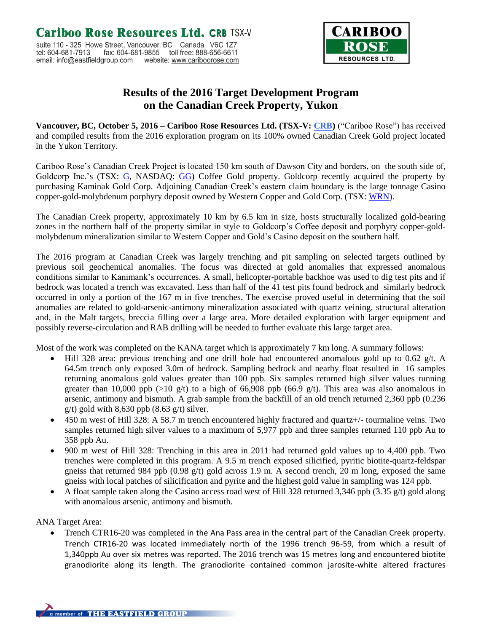

## **Results of the 2016 Target Development Program on the Canadian Creek Property, Yukon**

**Vancouver, BC, October 5, 2016 – Cariboo Rose Resources Ltd. (TSX-V: [CRB\)](http://finance.yahoo.com/q?s=crb.v&d=t)** ("Cariboo Rose") has received and compiled results from the 2016 exploration program on its 100% owned Canadian Creek Gold project located in the Yukon Territory.

Cariboo Rose's Canadian Creek Project is located 150 km south of Dawson City and borders, on the south side of, Goldcorp Inc.'s (TSX: [G,](http://finance.yahoo.com/q?s=g.to&ql=1) NASDAQ: [GG\)](http://finance.yahoo.com/q?s=gg&ql=1) Coffee Gold property. Goldcorp recently acquired the property by purchasing Kaminak Gold Corp. Adjoining Canadian Creek's eastern claim boundary is the large tonnage Casino copper-gold-molybdenum porphyry deposit owned by Western Copper and Gold Corp. (TSX[: WRN\)](http://finance.yahoo.com/q?s=wrn.to&ql=1).

The Canadian Creek property, approximately 10 km by 6.5 km in size, hosts structurally localized gold-bearing zones in the northern half of the property similar in style to Goldcorp's Coffee deposit and porphyry copper-goldmolybdenum mineralization similar to Western Copper and Gold's Casino deposit on the southern half.

The 2016 program at Canadian Creek was largely trenching and pit sampling on selected targets outlined by previous soil geochemical anomalies. The focus was directed at gold anomalies that expressed anomalous conditions similar to Kanimank's occurrences. A small, helicopter-portable backhoe was used to dig test pits and if bedrock was located a trench was excavated. Less than half of the 41 test pits found bedrock and similarly bedrock occurred in only a portion of the 167 m in five trenches. The exercise proved useful in determining that the soil anomalies are related to gold-arsenic-antimony mineralization associated with quartz veining, structural alteration and, in the Malt targets, breccia filling over a large area. More detailed exploration with larger equipment and possibly reverse-circulation and RAB drilling will be needed to further evaluate this large target area.

Most of the work was completed on the KANA target which is approximately 7 km long. A summary follows:

- Hill 328 area: previous trenching and one drill hole had encountered anomalous gold up to 0.62 g/t. A 64.5m trench only exposed 3.0m of bedrock. Sampling bedrock and nearby float resulted in 16 samples returning anomalous gold values greater than 100 ppb. Six samples returned high silver values running greater than 10,000 ppb (>10 g/t) to a high of 66,908 ppb (66.9 g/t). This area was also anomalous in arsenic, antimony and bismuth. A grab sample from the backfill of an old trench returned 2,360 ppb (0.236  $g(t)$  gold with 8,630 ppb (8.63  $g(t)$  silver.
- 450 m west of Hill 328: A 58.7 m trench encountered highly fractured and quartz+/- tourmaline veins. Two samples returned high silver values to a maximum of 5,977 ppb and three samples returned 110 ppb Au to 358 ppb Au.
- 900 m west of Hill 328: Trenching in this area in 2011 had returned gold values up to 4,400 ppb. Two trenches were completed in this program. A 9.5 m trench exposed silicified, pyritic biotite-quartz-feldspar gneiss that returned 984 ppb (0.98  $g(t)$  gold across 1.9 m. A second trench, 20 m long, exposed the same gneiss with local patches of silicification and pyrite and the highest gold value in sampling was 124 ppb.
- A float sample taken along the Casino access road west of Hill 328 returned 3,346 ppb (3.35 g/t) gold along with anomalous arsenic, antimony and bismuth.

ANA Target Area:

 Trench CTR16-20 was completed in the Ana Pass area in the central part of the Canadian Creek property. Trench CTR16-20 was located immediately north of the 1996 trench 96-59, from which a result of 1,340ppb Au over six metres was reported. The 2016 trench was 15 metres long and encountered biotite granodiorite along its length. The granodiorite contained common jarosite-white altered fractures